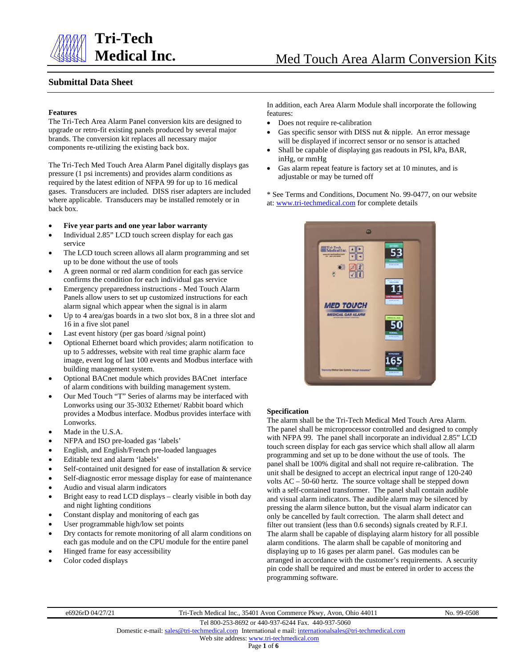

#### **Submittal Data Sheet**

#### **Features**

The Tri-Tech Area Alarm Panel conversion kits are designed to upgrade or retro-fit existing panels produced by several major brands. The conversion kit replaces all necessary major components re-utilizing the existing back box.

The Tri-Tech Med Touch Area Alarm Panel digitally displays gas pressure (1 psi increments) and provides alarm conditions as required by the latest edition of NFPA 99 for up to 16 medical gases. Transducers are included. DISS riser adapters are included where applicable. Transducers may be installed remotely or in back box.

#### • **Five year parts and one year labor warranty**

- Individual 2.85" LCD touch screen display for each gas service
- The LCD touch screen allows all alarm programming and set up to be done without the use of tools
- A green normal or red alarm condition for each gas service confirms the condition for each individual gas service
- Emergency preparedness instructions Med Touch Alarm Panels allow users to set up customized instructions for each alarm signal which appear when the signal is in alarm
- Up to 4 area/gas boards in a two slot box, 8 in a three slot and 16 in a five slot panel
- Last event history (per gas board /signal point)
- Optional Ethernet board which provides; alarm notification to up to 5 addresses, website with real time graphic alarm face image, event log of last 100 events and Modbus interface with building management system.
- Optional BACnet module which provides BACnet interface of alarm conditions with building management system.
- Our Med Touch "T" Series of alarms may be interfaced with Lonworks using our 35-3032 Ethernet/ Rabbit board which provides a Modbus interface. Modbus provides interface with Lonworks.
- Made in the U.S.A.
- NFPA and ISO pre-loaded gas 'labels'
- English, and English/French pre-loaded languages
- Editable text and alarm 'labels'
- Self-contained unit designed for ease of installation & service
- Self-diagnostic error message display for ease of maintenance
- Audio and visual alarm indicators
- Bright easy to read LCD displays clearly visible in both day and night lighting conditions
- Constant display and monitoring of each gas
- User programmable high/low set points
- Dry contacts for remote monitoring of all alarm conditions on each gas module and on the CPU module for the entire panel
- Hinged frame for easy accessibility
- Color coded displays

In addition, each Area Alarm Module shall incorporate the following features:

- Does not require re-calibration
- Gas specific sensor with DISS nut & nipple. An error message will be displayed if incorrect sensor or no sensor is attached
- Shall be capable of displaying gas readouts in PSI, kPa, BAR, inHg, or mmHg
- Gas alarm repeat feature is factory set at 10 minutes, and is adjustable or may be turned off

\* See Terms and Conditions, Document No. 99-0477, on our website at: [www.tri-techmedical.com](http://www.tri-techmedical.com/) for complete details



#### **Specification**

The alarm shall be the Tri-Tech Medical Med Touch Area Alarm. The panel shall be microprocessor controlled and designed to comply with NFPA 99. The panel shall incorporate an individual 2.85" LCD touch screen display for each gas service which shall allow all alarm programming and set up to be done without the use of tools. The panel shall be 100% digital and shall not require re-calibration. The unit shall be designed to accept an electrical input range of 120-240 volts AC – 50-60 hertz. The source voltage shall be stepped down with a self-contained transformer. The panel shall contain audible and visual alarm indicators. The audible alarm may be silenced by pressing the alarm silence button, but the visual alarm indicator can only be cancelled by fault correction. The alarm shall detect and filter out transient (less than 0.6 seconds) signals created by R.F.I. The alarm shall be capable of displaying alarm history for all possible alarm conditions. The alarm shall be capable of monitoring and displaying up to 16 gases per alarm panel. Gas modules can be arranged in accordance with the customer's requirements. A security pin code shall be required and must be entered in order to access the programming software.

e6926rD 04/27/21 Tri-Tech Medical Inc., 35401 Avon Commerce Pkwy, Avon, Ohio 44011 No. 99-0508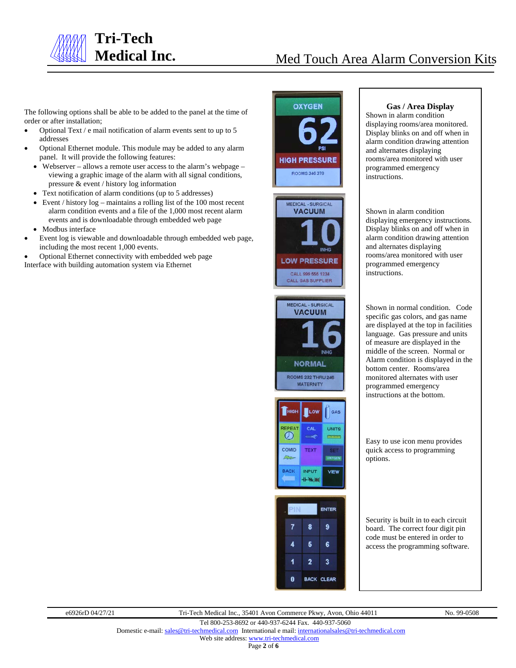

# **Medical Inc.** Med Touch Area Alarm Conversion Kits

The following options shall be able to be added to the panel at the time of order or after installation;

- Optional Text / e mail notification of alarm events sent to up to 5 addresses
- Optional Ethernet module. This module may be added to any alarm panel. It will provide the following features:
	- Webserver allows a remote user access to the alarm's webpage viewing a graphic image of the alarm with all signal conditions, pressure & event / history log information
	- Text notification of alarm conditions (up to 5 addresses)
	- Event / history  $log -$  maintains a rolling list of the 100 most recent alarm condition events and a file of the 1,000 most recent alarm events and is downloadable through embedded web page
	- Modbus interface
- Event log is viewable and downloadable through embedded web page, including the most recent 1,000 events.
- Optional Ethernet connectivity with embedded web page Interface with building automation system via Ethernet



# MEDICAL - SURGICAL **VACUUM NORMAL ROOMS 232 THRU 246 MATERNITY**





#### **Gas / Area Display**

Shown in alarm condition displaying rooms/area monitored. Display blinks on and off when in alarm condition drawing attention and alternates displaying rooms/area monitored with user programmed emergency instructions.

Shown in alarm condition displaying emergency instructions. Display blinks on and off when in alarm condition drawing attention and alternates displaying rooms/area monitored with user programmed emergency instructions.

Shown in normal condition. Code specific gas colors, and gas name are displayed at the top in facilities language. Gas pressure and units of measure are displayed in the middle of the screen. Normal or Alarm condition is displayed in the bottom center. Rooms/area monitored alternates with user programmed emergency instructions at the bottom.

Easy to use icon menu provides quick access to programming options.

Security is built in to each circuit board. The correct four digit pin code must be entered in order to access the programming software.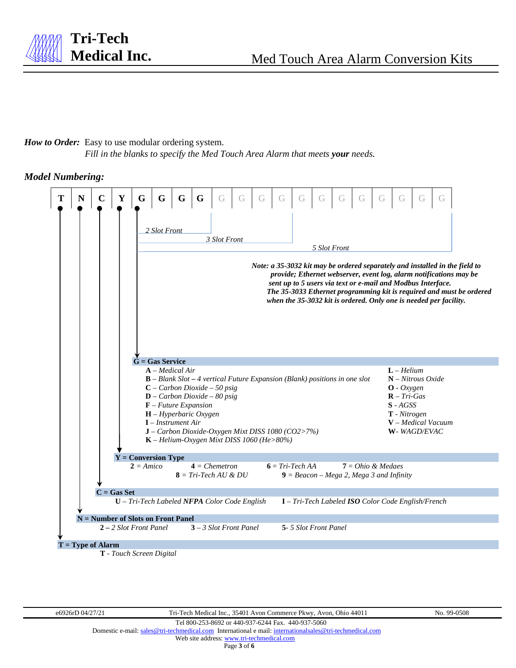### *How to Order:* Easy to use modular ordering system.

*Fill in the blanks to specify the Med Touch Area Alarm that meets your needs.*

### *Model Numbering:*



 **T** *- Touch Screen Digital*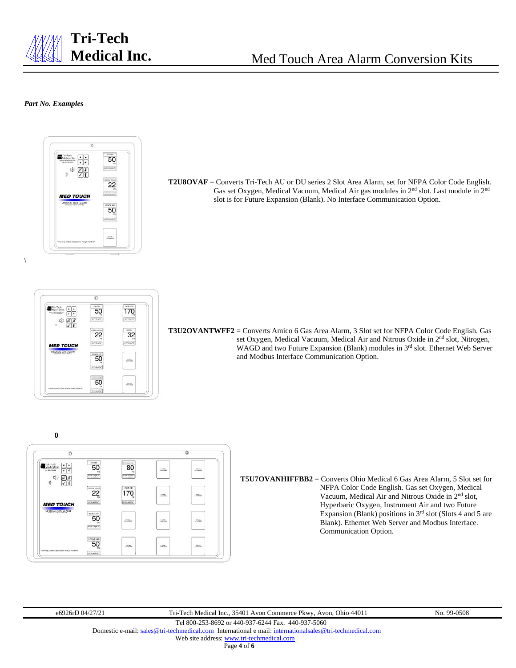

#### *Part No. Examples*

 $\setminus$ 



**T2U8OVAF** = Converts Tri-Tech AU or DU series 2 Slot Area Alarm, set for NFPA Color Code English. Gas set Oxygen, Medical Vacuum, Medical Air gas modules in 2nd slot. Last module in 2nd slot is for Future Expansion (Blank). No Interface Communication Option.



**T3U2OVANTWFF2** = Converts Amico 6 Gas Area Alarm, 3 Slot set for NFPA Color Code English. Gas set Oxygen, Medical Vacuum, Medical Air and Nitrous Oxide in 2<sup>nd</sup> slot, Nitrogen, WAGD and two Future Expansion (Blank) modules in 3<sup>rd</sup> slot. Ethernet Web Server and Modbus Interface Communication Option.





**T5U7OVANHIFFBB2** = Converts Ohio Medical 6 Gas Area Alarm, 5 Slot set for NFPA Color Code English. Gas set Oxygen, Medical Vacuum, Medical Air and Nitrous Oxide in 2nd slot, Hyperbaric Oxygen, Instrument Air and two Future Expansion (Blank) positions in 3rd slot (Slots 4 and 5 are Blank). Ethernet Web Server and Modbus Interface. Communication Option.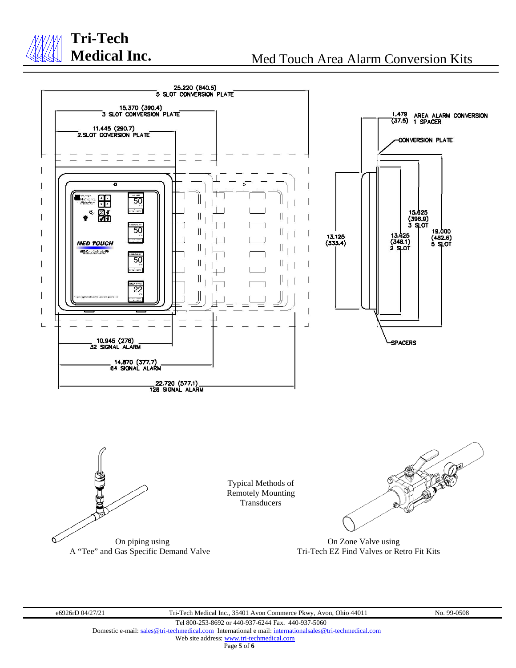

## **Med Touch Area Alarm Conversion Kits**



e6926rD 04/27/21 Tri-Tech Medical Inc., 35401 Avon Commerce Pkwy, Avon, Ohio 44011 No. 99-0508